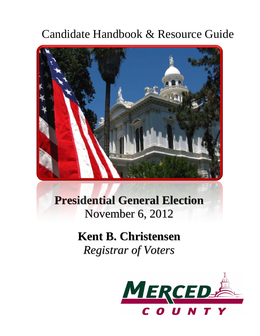## Candidate Handbook & Resource Guide



## **Presidential General Election** November 6, 2012

# **Kent B. Christensen**

*Registrar of Voters*

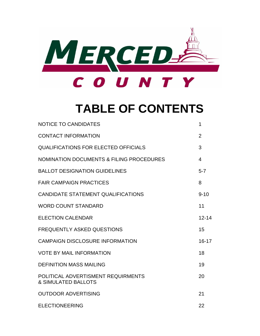

## **TABLE OF CONTENTS**

| <b>NOTICE TO CANDIDATES</b>                                          | 1                       |
|----------------------------------------------------------------------|-------------------------|
| <b>CONTACT INFORMATION</b>                                           | $\overline{2}$          |
| <b>QUALIFICATIONS FOR ELECTED OFFICIALS</b>                          | 3                       |
| <b>NOMINATION DOCUMENTS &amp; FILING PROCEDURES</b>                  | $\overline{\mathbf{4}}$ |
| <b>BALLOT DESIGNATION GUIDELINES</b>                                 | $5 - 7$                 |
| <b>FAIR CAMPAIGN PRACTICES</b>                                       | 8                       |
| <b>CANDIDATE STATEMENT QUALIFICATIONS</b>                            | $9 - 10$                |
| <b>WORD COUNT STANDARD</b>                                           | 11                      |
| <b>ELECTION CALENDAR</b>                                             | $12 - 14$               |
| <b>FREQUENTLY ASKED QUESTIONS</b>                                    | 15                      |
| <b>CAMPAIGN DISCLOSURE INFORMATION</b>                               | $16 - 17$               |
| <b>VOTE BY MAIL INFORMATION</b>                                      | 18                      |
| <b>DEFINITION MASS MAILING</b>                                       | 19                      |
| POLITICAL ADVERTISMENT REQUIRMENTS<br><b>&amp; SIMULATED BALLOTS</b> | 20                      |
| <b>OUTDOOR ADVERTISING</b>                                           | 21                      |
| <b>ELECTIONEERING</b>                                                | 22                      |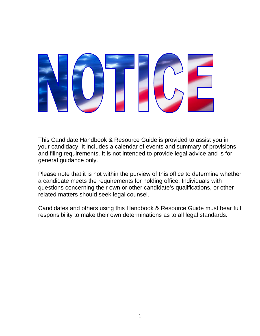

This Candidate Handbook & Resource Guide is provided to assist you in your candidacy. It includes a calendar of events and summary of provisions and filing requirements. It is not intended to provide legal advice and is for general guidance only.

Please note that it is not within the purview of this office to determine whether a candidate meets the requirements for holding office. Individuals with questions concerning their own or other candidate's qualifications, or other related matters should seek legal counsel.

Candidates and others using this Handbook & Resource Guide must bear full responsibility to make their own determinations as to all legal standards.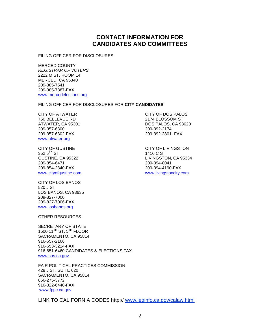## **CONTACT INFORMATION FOR CANDIDATES AND COMMITTEES**

FILING OFFICER FOR DISCLOSURES:

MERCED COUNTY *REGISTRAR OF VOTERS* 2222 M ST, ROOM 14 MERCED, CA 95340 209-385-7541 209-385-7387-FAX [www.mercedelections.org](http://www.mercedelections.org/)

FILING OFFICER FOR DISCLOSURES FOR **CITY CANDIDATES**:

CITY OF ATWATER CITY OF DOS PALOS 209-357-6300 209-392-2174 [www.atwater.org](http://www.atwater.org/)

CITY OF GUSTINE CITY OF LIVINGSTON  $3525^{\text{TH}}$  ST 1416 C ST 209-854-6471<br>209-854-2840-FAX

CITY OF LOS BANOS 520 J ST LOS BANOS, CA 93635 209-827-7000 209-827-7006-FAX [www.losbanos.org](http://www.losbanos.org/)

OTHER RESOURCES:

SECRETARY OF STATE 1500 11<sup>TH</sup> ST,  $5^{TH}$  FLOOR SACRAMENTO, CA 95814 916-657-2166 916-653-3214-FAX 916-651-6460 CANDIDATES & ELECTIONS FAX [www.sos.ca.gov](http://www.sos.ca.gov/)

FAIR POLITICAL PRACTICES COMMISSION 428 J ST, SUITE 620 SACRAMENTO, CA 95814 866-275-3772 916-322-6440-FAX [www.fppc.ca.gov](http://www.fppc.ca.gov/)

LINK TO CALIFORNIA CODES http:// www.leginfo.ca.gov/calaw.html

2174 BLOSSOM ST ATWATER, CA 95301 DOS PALOS, CA 93620 209-357-6302-FAX 209-392-2801- FAX

GUSTINE, CA 95322 LIVINGSTON, CA 95334<br>209-854-6471 209-394-8041 209-854-2840-FAX 209-394-4190-FAX [www.cityofgustine.com](http://www.cityofgustine.com/) [www.livingstoncity.com](http://www.livingstoncity.com/)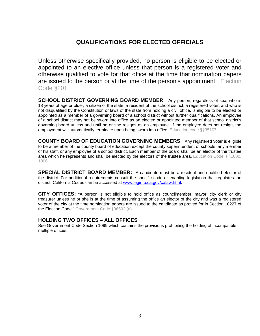## **QUALIFICATIONS FOR ELECTED OFFICIALS**

Unless otherwise specifically provided, no person is eligible to be elected or appointed to an elective office unless that person is a registered voter and otherwise qualified to vote for that office at the time that nomination papers are issued to the person or at the time of the person's appointment. Election Code §201

**SCHOOL DISTRICT GOVERNING BOARD MEMBER:** Any person, regardless of sex, who is 18 years of age or older, a citizen of the state, a resident of the school district, a registered voter, and who is not disqualified by the Constitution or laws of the state from holding a civil office, is eligible to be elected or appointed as a member of a governing board of a school district without further qualifications. An employee of a school district may not be sworn into office as an elected or appointed member of that school district's governing board unless and until he or she resigns as an employee. If the employee does not resign, the employment will automatically terminate upon being sworn into office. Education code §§35107

**COUNTY BOARD OF EDUCATION GOVERNING MEMBERS**: Any registered voter is eligible to be a member of the county board of education except the county superintendent of schools, any member of his staff, or any employee of a school district. Each member of the board shall be an elector of the trustee area which he represents and shall be elected by the electors of the trustee area. Education Code: §§1000. 1006

**SPECIAL DISTRICT BOARD MEMBER:** A candidate must be a resident and qualified elector of the district. For additional requirements consult the specific code or enabling legislation that regulates the district. California Codes can be accessed at [www.leginfo.ca.gov/calaw.html.](http://www.leginfor.ca.gov/calaw.html)

**CITY OFFICES:** "A person is not eligible to hold office as councilmember, mayor, city clerk or city treasurer unless he or she is at the time of assuming the office an elector of the city and was a registered voter of the city at the time nomination papers are issued to the candidate as proved for in Section 10227 of the Election Code." Government Code §36502 (a)

#### **HOLDING TWO OFFICES – ALL OFFICES**

See Government Code Section 1099 which contains the provisions prohibiting the holding of incompatible, multiple offices.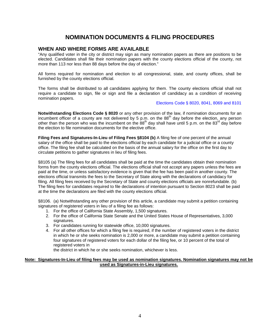## **NOMINATION DOCUMENTS & FILING PROCEDURES**

#### **WHEN AND WHERE FORMS ARE AVAILABLE**

"Any qualified voter in the city or district may sign as many nomination papers as there are positions to be elected. Candidates shall file their nomination papers with the county elections official of the county, not more than 113 nor less than 88 days before the day of election."

All forms required for nomination and election to all congressional, state, and county offices, shall be furnished by the county elections official.

The forms shall be distributed to all candidates applying for them. The county elections official shall not require a candidate to sign, file or sign and file a declaration of candidacy as a condition of receiving nomination papers.

#### Elections Code § 8020, 8041, 8069 and 8101

**Notwithstanding Elections Code § 8020** or any other provision of the law, if nomination documents for an incumbent officer of a county are not delivered by 5 p.m. on the  $88<sup>th</sup>$  day before the election, any person other than the person who was the incumbent on the  $88<sup>th</sup>$  day shall have until 5 p.m. on the  $83<sup>rd</sup>$  day before the election to file nomination documents for the elective office.

**Filing Fees and Signatures-In-Lieu of Filing Fees §8104 (b)** A filing fee of one percent of the annual salary of the office shall be paid to the elections official by each candidate for a judicial office or a county office. The filing fee shall be calculated on the basis of the annual salary for the office on the first day to circulate petitions to gather signatures in lieu of filing fees.

§8105 (a) The filing fees for all candidates shall be paid at the time the candidates obtain their nomination forms from the county elections official. The elections official shall not accept any papers unless the fees are paid at the time, or unless satisfactory evidence is given that the fee has been paid in another county. The elections official transmits the fees to the Secretary of State along with the declarations of candidacy for filing. All filing fees received by the Secretary of State and county elections officials are nonrefundable. (b) The filing fees for candidates required to file declarations of intention pursuant to Section 8023 shall be paid at the time the declarations are filed with the county elections official.

§8106. (a) Notwithstanding any other provision of this article, a candidate may submit a petition containing signatures of registered voters in lieu of a filing fee as follows:

- 1. For the office of California State Assembly, 1,500 signatures.
- 2. For the office of California State Senate and the United States House of Representatives, 3,000 signatures.
- 3. For candidates running for statewide office, 10,000 signatures.
- 4. For all other offices for which a filing fee is required, if the number of registered voters in the district in which he or she seeks nomination is 2,000 or more, a candidate may submit a petition containing four signatures of registered voters for each dollar of the filing fee, or 10 percent of the total of registered voters in

the district in which he or she seeks nomination, whichever is less.

#### **Note: Signatures-In-Lieu of filing fees may be used as nomination signatures. Nomination signatures may not be used as Signatures-in-Lieu signatures.**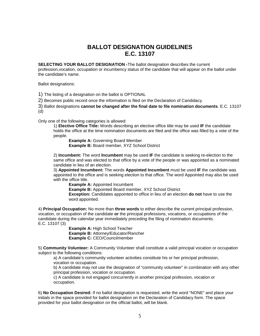## **BALLOT DESIGNATION GUIDELINES E.C. 13107**

**SELECTING YOUR BALLOT DESIGNATION -**The ballot designation describes the current

profession,vocation, occupation or incumbency status of the candidate that will appear on the ballot under the candidate's name.

Ballot designations:

1) The listing of a designation on the ballot is OPTIONAL

2) Becomes public record once the information is filed on the Declaration of Candidacy.

3) Ballot designations **cannot be changed after the final date to file nomination documents**. E.C. 13107 (d)

Only one of the following categories is allowed:

1) **Elective Office Title:** Words describing an elective office title may be used **IF** the candidate holds the office at the time nomination documents are filed and the office was filled by a vote of the people.

**Example A: Governing Board Member Example B:** Board member, XYZ School District

2) **Incumbent:** The word **Incumbent** may be used **IF** the candidate is seeking re-election to the same office and was elected to that office by a vote of the people or was appointed as a nominated candidate in lieu of an election.

3) **Appointed Incumbent:** The words **Appointed Incumbent** must be used **IF** the candidate was appointed to the office and is seeking election to that office. The word Appointed may also be used with the office title.

**Example A: Appointed Incumbent** 

**Example B:** Appointed Board member, XYZ School District **Exception:** Candidates appointed to office in lieu of an election **do not** have to use the word appointed.

4) **Principal Occupation:** No more than **three words** to either describe the current principal profession, vocation, or occupation of the candidate **or** the principal professions, vocations, or occupations of the candidate during the calendar year immediately preceding the filing of nomination documents. E.C. 13107 (3)

> **Example A:** High School Teacher **Example B:** Attorney/Educator/Rancher **Example C:** CEO/Councilmember

5) **Community Volunteer:** A Community Volunteer shall constitute a valid principal vocation or occupation subject to the following conditions:

a) A candidate's community volunteer activities constitute his or her principal profession, vocation or occupation.

b) A candidate may not use the designation of "community volunteer" in combination with any other principal profession, vocation or occupation.

c) A candidate is not engaged concurrently in another principal profession, vocation or occupation.

6) **No Occupation Desired:** If no ballot designation is requested, write the word "NONE" and place your initials in the space provided for ballot designation on the Declaration of Candidacy form. The space provided for your ballot designation on the official ballot, will be blank.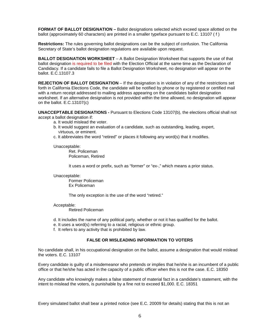**FORMAT OF BALLOT DESIGNATION –** Ballot designations selected which exceed space allotted on the ballot (approximately 60 characters) are printed in a smaller typeface pursuant to E.C. 13107 ( f )

**Restrictions:** The rules governing ballot designations can be the subject of confusion. The California Secretary of State's ballot designation regulations are available upon request.

**BALLOT DESIGNATION WORKSHEET** – A Ballot Designation Worksheet that supports the use of that ballot designation is required to be filed with the Election Official at the same time as the Declaration of Candidacy. If a candidate fails to file a Ballot Designation Worksheet, no designation will appear on the ballot. E.C.13107.3

**REJECTION OF BALLOT DESIGNATION** – If the designation is in violation of any of the restrictions set forth in California Elections Code, the candidate will be notified by phone or by registered or certified mail with a return receipt addressed to mailing address appearing on the candidates ballot designation worksheet. If an alternative designation is not provided within the time allowed, no designation will appear on the ballot. E.C.13107(c)

**UNACCEPTABLE DESIGNATIONS -** Pursuant to Elections Code 13107(b), the elections official shall not accept a ballot designation if:

- a. It would mislead the voter.
- b. It would suggest an evaluation of a candidate, such as outstanding, leading, expert, Virtuous, or eminent.
- c. It abbreviates the word "retired" or places it following any word(s) that it modifies.

Unacceptable:

Ret. Policeman Policeman, Retired

It uses a word or prefix, such as "former" or "ex-," which means a prior status.

Unacceptable:

Former Policeman Ex Policeman

The only exception is the use of the word "retired."

#### Acceptable:

Retired Policeman

- d. It includes the name of any political party, whether or not it has qualified for the ballot.
- e. It uses a word(s) referring to a racial, religious or ethnic group.
- f. It refers to any activity that is prohibited by law.

#### **FALSE OR MISLEADING INFORMATION TO VOTERS**

No candidate shall, in his occupational designation on the ballot, assume a designation that would mislead the voters. E.C. 13107

Every candidate is guilty of a misdemeanor who pretends or implies that he/she is an incumbent of a public office or that he/she has acted in the capacity of a public officer when this is not the case. E.C. 18350

Any candidate who knowingly makes a false statement of material fact in a candidate's statement, with the intent to mislead the voters, is punishable by a fine not to exceed \$1,000. E.C. 18351

Every simulated ballot shall bear a printed notice (see E.C. 20009 for details) stating that this is not an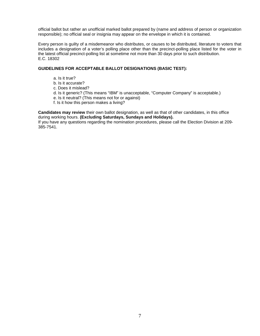official ballot but rather an unofficial marked ballot prepared by (name and address of person or organization responsible); no official seal or insignia may appear on the envelope in which it is contained.

Every person is guilty of a misdemeanor who distributes, or causes to be distributed, literature to voters that includes a designation of a voter's polling place other than the precinct-polling place listed for the voter in the latest official precinct-polling list at sometime not more than 30 days prior to such distribution. E.C. 18302

#### **GUIDELINES FOR ACCEPTABLE BALLOT DESIGNATIONS (BASIC TEST):**

- a. Is it true?
- b. Is it accurate?
- c. Does it mislead?
- d. Is it generic? (This means "IBM" is unacceptable, "Computer Company" is acceptable.)
- e. Is it neutral? (This means not for or against)
- f. Is it how this person makes a living?

**Candidates may review** their own ballot designation, as well as that of other candidates, in this office during working hours. **(Excluding Saturdays, Sundays and Holidays).**

If you have any questions regarding the nomination procedures, please call the Election Division at 209- 385-7541.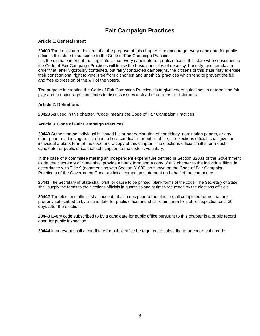## **Fair Campaign Practices**

#### **Article 1. General Intent**

**20400** The Legislature declares that the purpose of this chapter is to encourage every candidate for public office in this state to subscribe to the Code of Fair Campaign Practices.

It is the ultimate intent of the Legislature that every candidate for public office in this state who subscribes to the Code of Fair Campaign Practices will follow the basic principles of decency, honesty, and fair play in order that, after vigorously contested, but fairly conducted campaigns, the citizens of this state may exercise their constitutional right to vote, free from dishonest and unethical practices which tend to prevent the full and free expression of the will of the voters.

The purpose in creating the Code of Fair Campaign Practices is to give voters guidelines in determining fair play and to encourage candidates to discuss issues instead of untruths or distortions.

#### **Article 2. Definitions**

**20420** As used in this chapter, "Code" means the Code of Fair Campaign Practices.

#### **Article 3. Code of Fair Campaign Practices**

**20440** At the time an individual is issued his or her declaration of candidacy, nomination papers, or any other paper evidencing an intention to be a candidate for public office, the elections official, shall give the individual a blank form of the code and a copy of this chapter. The elections official shall inform each candidate for public office that subscription to the code is voluntary.

In the case of a committee making an independent expenditure defined in Section 82031 of the Government Code, the Secretary of State shall provide a blank form and a copy of this chapter to the individual filing, in accordance with Title 9 (commencing with Section 81000, as shown on the Code of Fair Campaign Practices) of the Government Code, an initial campaign statement on behalf of the committee.

**20441** The Secretary of State shall print, or cause to be printed, blank forms of the code. The Secretary of State shall supply the forms to the elections officials in quantities and at times requested by the elections officials.

**20442** The elections official shall accept, at all times prior to the election, all completed forms that are properly subscribed to by a candidate for public office and shall retain them for public inspection until 30 days after the election.

**20443** Every code subscribed to by a candidate for public office pursuant to this chapter is a public record open for public inspection.

**20444** In no event shall a candidate for public office be required to subscribe to or endorse the code.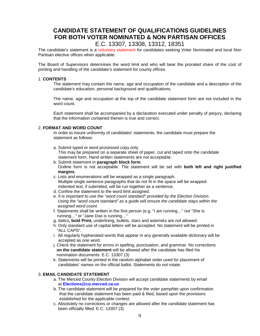## **CANDIDATE STATEMENT OF QUALIFICATIONS GUIDELINES FOR BOTH VOTER NOMINATED & NON PARTISAN OFFICES**

E.C. 13307, 13308, 13312, 18351

The candidate's statement is a voluntary statement for candidates seeking Voter Nominated and local Non Partisan elective offices when applicable.

The Board of Supervisors determines the word limit and who will bear the prorated share of the cost of printing and handling of the candidate's statement for county offices.

#### 1. **CONTENTS**

The statement may contain the name, age and occupation of the candidate and a description of the candidate's education, personal background and qualifications.

The name, age and occupation at the top of the candidate statement form are not included in the word count.

Each statement shall be accompanied by a declaration executed under penalty of perjury, declaring that the information contained therein is true and correct.

#### 2. **FORMAT AND WORD COUNT**

In order to insure uniformity of candidates' statements, the candidate must prepare the statement as follows:

- a. Submit typed or word processed copy only. This may be prepared on a separate sheet of paper, cut and taped onto the candidate statement form. Hand written statements are not acceptable.
- b. Submit statement in **paragraph block form**. Outline form is not acceptable. The statement will be set with **both left and right justified margins**.
- c. Lists and enumerations will be wrapped as a single paragraph. Multiple single sentence paragraphs that do not fit in the space will be wrapped. Indented text, if submitted, will be run together as a sentence.
- d. Confine the statement to the word limit assigned.
- e. *It is important to use the "word count standard" provided by the Election Division. Using the "word count standard" as a guide will ensure the candidate stays within the assigned word count.*
- f. Statements shall be written in the first person (e.g. "I am running…" not "She is running…" or "Jane Doe is running…"
- g. *Italics***, bold Print,** underlining, bullets, stars and asterisks are not allowed.
- h. Only standard use of capital letters will be accepted. No statement will be printed in "ALL CAPS".
- i. All regularly hyphenated words that appear in any generally available dictionary will be accepted as one word.
- j. Check the statement for errors in spelling, punctuation, and grammar. No corrections **on the candidate statement** will be allowed after the candidate has filed his nomination documents. E.C. 13307 (3)
- k. Statements will be printed in the random alphabet order used for placement of candidates' names on the official ballot. Statements do not rotate.

#### 3. **EMAIL CANDIDATE STATEMENT**

- a. The Merced County Election Division will accept candidate statements by email at **Elections@co.merced.ca.us**
- b. The candidate statement will be prepared for the voter pamphlet upon confirmation that the candidate statement has been paid & filed, based upon the provisions established for the applicable contest.
- c. Absolutely no corrections or changes are allowed after the candidate statement has been officially filled. E.C. 13307 (3)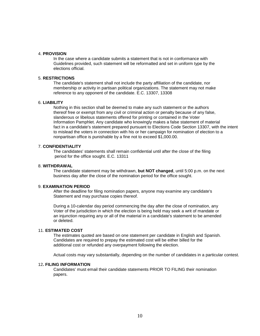#### 4. **PROVISION**

In the case where a candidate submits a statement that is not in conformance with Guidelines provided, such statement will be reformatted and set in uniform type by the elections official.

#### 5. **RESTRICTIONS**

The candidate's statement shall not include the party affiliation of the candidate, nor membership or activity in partisan political organizations. The statement may not make reference to any opponent of the candidate. E.C. 13307, 13308

#### 6. **LIABILITY**

Nothing in this section shall be deemed to make any such statement or the authors thereof free or exempt from any civil or criminal action or penalty because of any false, slanderous or libelous statements offered for printing or contained in the Voter Information Pamphlet. Any candidate who knowingly makes a false statement of material fact in a candidate's statement prepared pursuant to Elections Code Section 13307, with the intent to mislead the voters in connection with his or her campaign for nomination of election to a nonpartisan office is punishable by a fine not to exceed \$1,000.00.

#### 7. **CONFIDENTIALITY**

The candidates' statements shall remain confidential until after the close of the filing period for the office sought. E.C. 13311

#### 8. **WITHDRAWAL**

The candidate statement may be withdrawn, **but NOT changed**, until 5:00 p.m. on the next business day after the close of the nomination period for the office sought.

#### 9. **EXAMINATION PERIOD**

After the deadline for filing nomination papers, anyone may examine any candidate's Statement and may purchase copies thereof.

During a 10-calendar day period commencing the day after the close of nomination, any Voter of the jurisdiction in which the election is being held may seek a writ of mandate or an injunction requiring any or all of the material in a candidate's statement to be amended or deleted.

#### 11. **ESTIMATED COST**

The estimates quoted are based on one statement per candidate in English and Spanish. Candidates are required to prepay the estimated cost will be either billed for the additional cost or refunded any overpayment following the election.

Actual costs may vary substantially, depending on the number of candidates in a particular contest.

#### 12**. FILING INFORMATION**

Candidates' must email their candidate statements PRIOR TO FILING their nomination papers.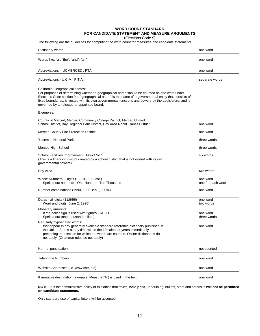#### **WORD COUNT STANDARD FOR CANDIDATE STATEMENT AND MEASURE ARGUMENTS**

(Elections Code 9)

The following are the guidelines for computing the word count for measures and candidate statements.

| Dictionary words                                                                                                                                                                                                                                                                                                                                                                              | one word                      |
|-----------------------------------------------------------------------------------------------------------------------------------------------------------------------------------------------------------------------------------------------------------------------------------------------------------------------------------------------------------------------------------------------|-------------------------------|
| Words like: "a", "the", "and", "an"                                                                                                                                                                                                                                                                                                                                                           | one word                      |
| Abbreviations - UCMERCED, PTA                                                                                                                                                                                                                                                                                                                                                                 | one word                      |
| Abbreviations - U.C.M., P.T.A.                                                                                                                                                                                                                                                                                                                                                                | separate words                |
| California Geographical names:<br>For purposes of determining whether a geographical name should be counted as one word under<br>Elections Code section 9, a "geographical name" is the name of a governmental entity that consists of<br>fixed boundaries, is vested with its own governmental functions and powers by the Legislature, and is<br>governed by an elected or appointed board. |                               |
| Examples:                                                                                                                                                                                                                                                                                                                                                                                     |                               |
| County of Merced, Merced Community College District, Merced Unified<br>School District, Bay Regional Park District, Bay Area Rapid Transit District.                                                                                                                                                                                                                                          | one word                      |
| Merced County Fire Protection District                                                                                                                                                                                                                                                                                                                                                        | one word                      |
| <b>Yosemite National Park</b>                                                                                                                                                                                                                                                                                                                                                                 | three words                   |
| Merced High School                                                                                                                                                                                                                                                                                                                                                                            | three words                   |
| School Facilities Improvement District No.1<br>(This is a financing district created by a school district that is not vested with its own<br>governmental powers)                                                                                                                                                                                                                             | six words                     |
| Bay Area                                                                                                                                                                                                                                                                                                                                                                                      | two words                     |
| Whole Numbers - Digits (1 - 10 - 100, etc.)<br>Spelled out numbers - One Hundred, Ten Thousand                                                                                                                                                                                                                                                                                                | one word<br>one for each word |
| Number combinations (1990, 1990-1991, 100%)                                                                                                                                                                                                                                                                                                                                                   | one word                      |
| Dates - all digits (11/5/96)<br>Word and digits (June 2, 1998)                                                                                                                                                                                                                                                                                                                                | one word<br>two words         |
| Monetary amounts:<br>If the dollar sign is used with figures - \$1,000<br>Spelled out (one thousand dollars)                                                                                                                                                                                                                                                                                  | one word<br>three words       |
| Regularly hyphenated words:<br>that appear in any generally available standard reference dictionary published in<br>the United States at any time within the 10 calendar years immediately<br>preceding the election for which the words are counted. Online dictionaries do<br>not apply. (Grammar rules do not apply)                                                                       | one word                      |
| Normal punctuation                                                                                                                                                                                                                                                                                                                                                                            | not counted                   |
| <b>Telephone Numbers</b>                                                                                                                                                                                                                                                                                                                                                                      | one word                      |
| Website Addresses (i.e. www.com.etc)                                                                                                                                                                                                                                                                                                                                                          | one word                      |
| If measure designation (example: Measure "A") is used in the text                                                                                                                                                                                                                                                                                                                             | one word                      |

**NOTE:** It is the administrative policy of this office that *italics*, **bold print**, underlining, bullets, stars and asterisks **will not be permitted on candidate statements.**

Only standard use of capital letters will be accepted.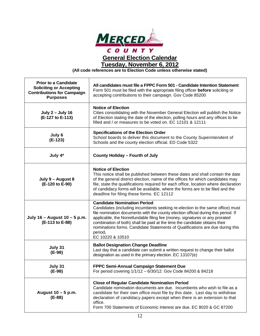

**General Election Calendar**

**Tuesday, November 6, 2012**

**(All code references are to Election Code unless otherwise stated)**

| <b>Prior to a Candidate</b><br><b>Soliciting or Accepting</b><br><b>Contributions for Campaign</b><br><b>Purposes</b> | All candidates must file a FPPC Form 501 - Candidate Intention Statement<br>Form 501 must be filed with the appropriate filing officer before soliciting or<br>accepting contributions to their campaign. Gov Code 85200                                                                                                                                                                                                                                                               |
|-----------------------------------------------------------------------------------------------------------------------|----------------------------------------------------------------------------------------------------------------------------------------------------------------------------------------------------------------------------------------------------------------------------------------------------------------------------------------------------------------------------------------------------------------------------------------------------------------------------------------|
| <b>July 2 - July 16</b><br>(E-127 to E-113)                                                                           | <b>Notice of Election</b><br>Cities consolidating with the November General Election will publish the Notice<br>of Election stating the date of the election, polling hours and any offices to be<br>filled and / or measures to be voted on, EC 12101 & 12111                                                                                                                                                                                                                         |
| July 6<br>$(E-123)$                                                                                                   | <b>Specifications of the Election Order</b><br>School boards to deliver this document to the County Superintendent of<br>Schools and the county election official. ED Code 5322                                                                                                                                                                                                                                                                                                        |
| July 4*                                                                                                               | <b>County Holiday - Fourth of July</b>                                                                                                                                                                                                                                                                                                                                                                                                                                                 |
| July 9 - August 8<br>(E-120 to E-90)                                                                                  | <b>Notice of Election</b><br>This notice shall be published between these dates and shall contain the date<br>of the general district election, name of the offices for which candidates may<br>file, state the qualifications required for each office, location where declaration<br>of candidacy forms will be available, where the forms are to be filed and the<br>deadline for filing these forms. EC 12112                                                                      |
| July 16 - August 10 - 5 p.m.<br>(E-113 to E-88)                                                                       | <b>Candidate Nomination Period</b><br>Candidates (including incumbents seeking re-election to the same office) must<br>file nomination documents with the county election official during this period. If<br>applicable, the Nonrefundable filing fee (money, signatures or any prorated<br>combination of both) shall be paid at the time the candidate obtains their<br>nominations forms. Candidate Statements of Qualifications are due during this<br>period.<br>EC 10220 & 10510 |
| July 31<br>$(E-98)$                                                                                                   | <b>Ballot Designation Change Deadline</b><br>Last day that a candidate can submit a written request to change their ballot<br>designation as used in the primary election. EC 13107(e)                                                                                                                                                                                                                                                                                                 |
| July 31<br>(E-98)                                                                                                     | FPPC Semi-Annual Campaign Statement Due<br>For period covering 1/1/12 - 6/30/12. Gov Code 84200 & 84218                                                                                                                                                                                                                                                                                                                                                                                |
| August $10 - 5$ p.m.<br>(E-88)                                                                                        | <b>Close of Regular Candidate Nomination Period</b><br>Candidate nomination documents are due. Incumbents who wish to file as a<br>candidate for their own office must file by this date. Last day to withdraw<br>declaration of candidacy papers except when there is an extension to that<br>office.<br>Form 700 Statements of Economic Interest are due. EC 8020 & GC 87200                                                                                                         |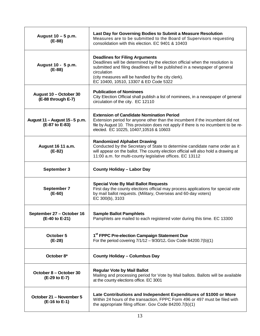| August 10 - 5 p.m.<br>$(E-88)$                   | Last Day for Governing Bodies to Submit a Measure Resolution<br>Measures are to be submitted to the Board of Supervisors requesting<br>consolidation with this election. EC 9401 & 10403                                                                                                                          |  |
|--------------------------------------------------|-------------------------------------------------------------------------------------------------------------------------------------------------------------------------------------------------------------------------------------------------------------------------------------------------------------------|--|
| August 10 - 5 p.m.<br>$(E-88)$                   | <b>Deadlines for Filing Arguments</b><br>Deadlines will be determined by the election official when the resolution is<br>submitted and filing deadlines will be published in a newspaper of general<br>circulation<br>(city measures will be handled by the city clerk).<br>EC 10400, 10510, 13307 & ED Code 5322 |  |
| August 10 - October 30<br>(E-88 through E-7)     | <b>Publication of Nominees</b><br>City Election Official shall publish a list of nominees, in a newspaper of general<br>circulation of the city. EC 12110                                                                                                                                                         |  |
| August 11 - August 15 - 5 p.m.<br>(E-87 to E-83) | <b>Extension of Candidate Nomination Period</b><br>Extension period for anyone other than the incumbent if the incumbent did not<br>file by August 10. This provision does not apply if there is no incumbent to be re-<br>elected. EC 10225, 10407, 10516 & 10603                                                |  |
| August 16 11 a.m.<br>(E-82)                      | <b>Randomized Alphabet Drawing</b><br>Conducted by the Secretary of State to determine candidate name order as it<br>will appear on the ballot. The county election official will also hold a drawing at<br>11:00 a.m. for multi-county legislative offices. EC 13112                                             |  |
| September 3                                      | <b>County Holiday - Labor Day</b>                                                                                                                                                                                                                                                                                 |  |
| <b>September 7</b><br>$(E-60)$                   | <b>Special Vote By Mail Ballot Requests</b><br>First day the county elections official may process applications for special vote<br>by mail ballot requests. (Military, Overseas and 60-day voters)<br>EC 300(b), 3103                                                                                            |  |
| September 27 - October 16<br>(E-40 to E-21)      | <b>Sample Ballot Pamphlets</b><br>Pamphlets are mailed to each registered voter during this time. EC 13300                                                                                                                                                                                                        |  |
| October 5<br>$(E-28)$                            | 1 <sup>st</sup> FPPC Pre-election Campaign Statement Due<br>For the period covering 7/1/12 - 9/30/12. Gov Code 84200.7(b)(1)                                                                                                                                                                                      |  |
| October 8*                                       | <b>County Holiday - Columbus Day</b>                                                                                                                                                                                                                                                                              |  |
| October 8 - October 30<br>(E-29 to E-7)          | <b>Regular Vote by Mail Ballot</b><br>Mailing and processing period for Vote by Mail ballots. Ballots will be available<br>at the county elections office. EC 3001                                                                                                                                                |  |
| October 21 - November 5<br>(E-16 to E-1)         | Late Contributions and Independent Expenditures of \$1000 or More<br>Within 24 hours of the transaction, FPPC Form 496 or 497 must be filed with<br>the appropriate filing officer. Gov Code 84200.7(b)(1)                                                                                                        |  |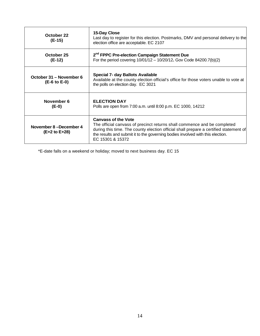| October 22<br>$(E-15)$                    | 15-Day Close<br>Last day to register for this election. Postmarks, DMV and personal delivery to the<br>election office are acceptable. EC 2107                                                                                                                                                        |
|-------------------------------------------|-------------------------------------------------------------------------------------------------------------------------------------------------------------------------------------------------------------------------------------------------------------------------------------------------------|
| October 25<br>$(E-12)$                    | 2 <sup>nd</sup> FPPC Pre-election Campaign Statement Due<br>For the period covering $10/01/12 - 10/20/12$ . Gov Code 84200.7(b)(2)                                                                                                                                                                    |
| October 31 – November 6<br>$(E-6 to E-0)$ | <b>Special 7- day Ballots Available</b><br>Available at the county election official's office for those voters unable to vote at<br>the polls on election day. EC 3021                                                                                                                                |
| November 6<br>(E-0)                       | <b>ELECTION DAY</b><br>Polls are open from 7:00 a.m. until 8:00 p.m. EC 1000, 14212                                                                                                                                                                                                                   |
| November 8-December 4<br>(E+2 to E+28)    | <b>Canvass of the Vote</b><br>The official canvass of precinct returns shall commence and be completed<br>during this time. The county election official shall prepare a certified statement of<br>the results and submit it to the governing bodies involved with this election.<br>EC 15301 & 15372 |

\*E-date falls on a weekend or holiday; moved to next business day. EC 15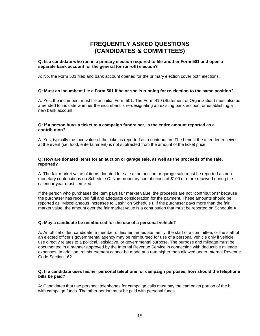## **FREQUENTLY ASKED QUESTIONS (CANDIDATES & COMMITTEES)**

#### **Q: Is a candidate who ran in a primary election required to file another Form 501 and open a separate bank account for the general (or run-off) election?**

A: No, the Form 501 filed and bank account opened for the primary election cover both elections.

#### **Q: Must an incumbent file a Form 501 if he or she is running for re-election to the same position?**

A: Yes, the incumbent must file an initial Form 501. The Form 410 (Statement of Organization) must also be amended to indicate whether the incumbent is re-designating an existing bank account or establishing a new bank account.

#### **Q: If a person buys a ticket to a campaign fundraiser, is the entire amount reported as a contribution?**

A: Yes, typically the face value of the ticket is reported as a contribution. The benefit the attendee receives at the event (i.e. food, entertainment) is not subtracted from the amount of the ticket price.

#### **Q: How are donated items for an auction or garage sale, as well as the proceeds of the sale, reported?**

A: The fair market value of items donated for sale at an auction or garage sale must be reported as nonmonetary contributions on Schedule C. Non-monetary contributions of \$100 or more received during the calendar year must itemized.

If the person who purchases the item pays fair market value, the proceeds are not "contributions" because the purchaser has received full and adequate consideration for the payment. These amounts should be reported as "Miscellaneous Increases to Cash" on Schedule I. If the purchaser pays more than the fair market value, the amount over the fair market value is a contribution that must be reported on Schedule A.

#### **Q: May a candidate be reimbursed for the use of a personal vehicle?**

A: An officeholder, candidate, a member of his/her immediate family, the staff of a committee, or the staff of an elected officer's governmental agency may be reimbursed for use of a personal vehicle only if vehicle use directly relates to a political, legislative, or governmental purpose. The purpose and mileage must be documented in a manner approved by the Internal Revenue Service in connection with deductible mileage expenses. In addition, reimbursement cannot be made at a rate higher than allowed under Internal Revenue Code Section 162.

#### **Q: If a candidate uses his/her personal telephone for campaign purposes, how should the telephone bills be paid?**

A: Candidates that use personal telephones for campaign calls must pay the campaign portion of the bill with campaign funds. The other portion must be paid with personal funds.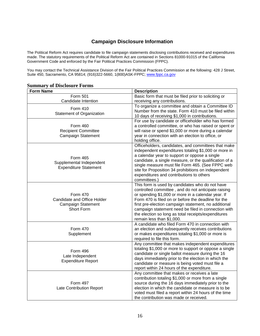## **Campaign Disclosure Information**

The Political Reform Act requires candidate to file campaign statements disclosing contributions received and expenditures made. The statutory requirements of the Political Reform Act are contained in Sections 81000-91015 of the California Government Code and enforced by the Fair Political Practices Commission (FPPC).

You may contact the Technical Assistance Division of the Fair Political Practices Commission at the following: 428 J Street, Suite 450, Sacramento, CA 95814; (916)322-5660, 1(800)ASK-FPPC; [www.fppc.ca.gov](http://www.fppc.ca.gov/)

#### **Summary of Disclosure Forms**

| <b>Form Name</b>                                                                          | <b>Description</b>                                                                                                                                                                                                                                                                                                                                                                                                     |
|-------------------------------------------------------------------------------------------|------------------------------------------------------------------------------------------------------------------------------------------------------------------------------------------------------------------------------------------------------------------------------------------------------------------------------------------------------------------------------------------------------------------------|
| Form 501                                                                                  | Basic form that must be filed prior to soliciting or                                                                                                                                                                                                                                                                                                                                                                   |
| Candidate Intention                                                                       | receiving any contributions.                                                                                                                                                                                                                                                                                                                                                                                           |
| Form 410<br><b>Statement of Organization</b>                                              | To organize a committee and obtain a Committee ID<br>Number from the state. Form 410 must be filed within<br>10 days of receiving \$1,000 in contributions.                                                                                                                                                                                                                                                            |
| Form 460<br><b>Recipient Committee</b><br><b>Campaign Statement</b>                       | For use by candidate or officeholder who has formed<br>a controlled committee, or who has raised or spent or<br>will raise or spend \$1,000 or more during a calendar<br>year in connection with an election to office, or<br>holding office.                                                                                                                                                                          |
| <b>Form 465</b><br>Supplemental Independent<br><b>Expenditure Statement</b>               | Officeholders, candidates, and committees that make<br>independent expenditures totaling \$1,000 or more in<br>a calendar year to support or oppose a single<br>candidate, a single measure, or the qualification of a<br>single measure must file Form 465. (See FPPC web<br>site for Proposition 34 prohibitions on independent<br>expenditures and contributions to others<br>committees.)                          |
| Form 470<br>Candidate and Office Holder<br><b>Campaign Statement</b><br><b>Short Form</b> | This form is used by candidates who do not have<br>controlled committee, and do not anticipate raising<br>or spending \$1,000 or more in a calendar year. If<br>Form 470 is filed on or before the deadline for the<br>first pre-election campaign statement, no additional<br>campaign statement need be filed in connection with<br>the election so long as total receipts/expenditures<br>remain less than \$1,000. |
| Form 470<br>Supplement                                                                    | A candidate who filed Form 470 in connection with<br>an election and subsequently receives contributions<br>or makes expenditures totaling \$1,000 or more is<br>required to file this form.                                                                                                                                                                                                                           |
| Form 496<br>Late Independent<br><b>Expenditure Report</b>                                 | Any committee that makes independent expenditures<br>totaling \$1,000 or more to support or oppose a single<br>candidate or single ballot measure during the 16<br>days immediately prior to the election in which the<br>candidate or measure is being voted must file a<br>report within 24 hours of the expenditure.                                                                                                |
| <b>Form 497</b><br><b>Late Contribution Report</b>                                        | Any committee that makes or receives a late<br>contribution totaling \$1,000 or more from a single<br>source during the 16 days immediately prior to the<br>election in which the candidate or measure is to be<br>voted must filed a report within 24 hours of the time<br>the contribution was made or received.                                                                                                     |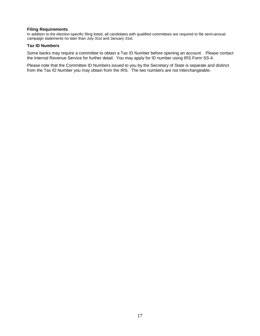#### **Filing Requirements**

In addition to the election-specific filing listed, all candidates with qualified committees are required to file semi-annual campaign statements no later than July 31st and January 31st.

#### **Tax ID Numbers**

Some banks may require a committee to obtain a Tax ID Number before opening an account. Please contact the Internal Revenue Service for further detail. You may apply for ID number using IRS Form SS-4.

Please note that the Committee ID Numbers issued to you by the Secretary of State is separate and distinct from the Tax ID Number you may obtain from the IRS. The two numbers are not interchangeable.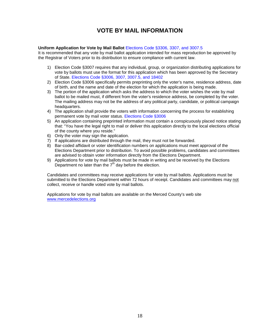## **VOTE BY MAIL INFORMATION**

#### **Uniform Application for Vote by Mail Ballot** Elections Code §3306, 3307, and 3007.5

It is recommended that any vote by mail ballot application intended for mass reproduction be approved by the Registrar of Voters prior to its distribution to ensure compliance with current law.

- 1) Election Code §3007 requires that any individual, group, or organization distributing applications for vote by ballots must use the format for this application which has been approved by the Secretary of State. Elections Code §3006, 3007, 3007.5, and 18402
- 2) Election Code §3006 specifically permits preprinting only the voter's name, residence address, date of birth, and the name and date of the election for which the application is being made.
- 3) The portion of the application which asks the address to which the voter wishes the vote by mail ballot to be mailed must, if different from the voter's residence address, be completed by the voter. The mailing address may not be the address of any political party, candidate, or political campaign headquarters.
- 4) The application shall provide the voters with information concerning the process for establishing permanent vote by mail voter status. Elections Code §3006
- 5) An application containing preprinted information must contain a conspicuously placed notice stating that: "You have the legal right to mail or deliver this application directly to the local elections official of the county where you reside."
- 6) Only the voter may sign the application.
- 7) If applications are distributed through the mail, they must not be forwarded.
- 8) Bar-coded affidavit or voter identification numbers on applications must meet approval of the Elections Department prior to distribution. To avoid possible problems, candidates and committees are advised to obtain voter information directly from the Elections Department.
- 9) Applications for vote by mail ballots must be made in writing and be received by the Elections Department no later than the  $7<sup>th</sup>$  day before the election.

Candidates and committees may receive applications for vote by mail ballots. Applications must be submitted to the Elections Department within 72 hours of receipt. Candidates and committees may not collect, receive or handle voted vote by mail ballots.

Applications for vote by mail ballots are available on the Merced County's web site [www.mercedelections.org](http://www.co.merced.ca.us/)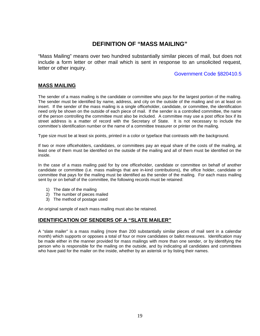## **DEFINITION OF "MASS MAILING"**

"Mass Mailing" means over two hundred substantially similar pieces of mail, but does not include a form letter or other mail which is sent in response to an unsolicited request, letter or other inquiry.

#### Government Code §820410.5

#### **MASS MAILING**

The sender of a mass mailing is the candidate or committee who pays for the largest portion of the mailing. The sender must be identified by name, address, and city on the outside of the mailing and on at least on insert. If the sender of the mass mailing is a single officeholder, candidate, or committee, the identification need only be shown on the outside of each piece of mail. If the sender is a controlled committee, the name of the person controlling the committee must also be included. A committee may use a post office box if its street address is a matter of record with the Secretary of State. It is not necessary to include the committee's identification number or the name of a committee treasurer or printer on the mailing.

Type size must be at least six points, printed in a color or typeface that contrasts with the background.

If two or more officeholders, candidates, or committees pay an equal share of the costs of the mailing, at least one of them must be identified on the outside of the mailing and all of them must be identified on the inside.

In the case of a mass mailing paid for by one officeholder, candidate or committee on behalf of another candidate or committee (i.e. mass mailings that are in-kind contributions), the office holder, candidate or committee that pays for the mailing must be identified as the sender of the mailing. For each mass mailing sent by or on behalf of the committee, the following records must be retained:

- 1) The date of the mailing
- 2) The number of pieces mailed
- 3) The method of postage used

An original sample of each mass mailing must also be retained.

#### **IDENTIFICATION OF SENDERS OF A "SLATE MAILER"**

A "slate mailer" is a mass mailing (more than 200 substantially similar pieces of mail sent in a calendar month) which supports or opposes a total of four or more candidates or ballot measures. Identification may be made either in the manner provided for mass mailings with more than one sender, or by identifying the person who is responsible for the mailing on the outside, and by indicating all candidates and committees who have paid for the mailer on the inside, whether by an asterisk or by listing their names.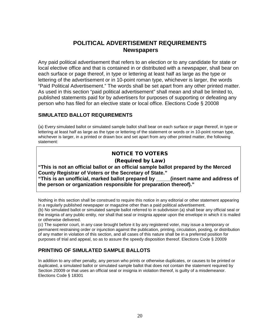## **POLITICAL ADVERTISEMENT REQUIREMENTS Newspapers**

Any paid political advertisement that refers to an election or to any candidate for state or local elective office and that is contained in or distributed with a newspaper, shall bear on each surface or page thereof, in type or lettering at least half as large as the type or lettering of the advertisement or in 10‐point roman type, whichever is larger, the words "Paid Political Advertisement." The words shall be set apart from any other printed matter. As used in this section "paid political advertisement" shall mean and shall be limited to, published statements paid for by advertisers for purposes of supporting or defeating any person who has filed for an elective state or local office. Elections Code § 20008

### **SIMULATED BALLOT REQUIREMENTS**

(a) Every simulated ballot or simulated sample ballot shall bear on each surface or page thereof, in type or lettering at least half as large as the type or lettering of the statement or words or in 10‐point roman type, whichever is larger, in a printed or drawn box and set apart from any other printed matter, the following statement:

## NOTICE TO VOTERS

#### (Required by Law)

**"This is not an official ballot or an official sample ballot prepared by the Merced County Registrar of Voters or the Secretary of State."**

**"This is an unofficial, marked ballot prepared by \_\_\_\_\_(insert name and address of the person or organization responsible for preparation thereof)."** 

Nothing in this section shall be construed to require this notice in any editorial or other statement appearing in a regularly published newspaper or magazine other than a paid political advertisement.

(b) No simulated ballot or simulated sample ballot referred to in subdivision (a) shall bear any official seal or the insignia of any public entity, nor shall that seal or insignia appear upon the envelope in which it is mailed or otherwise delivered.

(c) The superior court, in any case brought before it by any registered voter, may issue a temporary or permanent restraining order or injunction against the publication, printing, circulation, posting, or distribution of any matter in violation of this section, and all cases of this nature shall be in a preferred position for purposes of trial and appeal, so as to assure the speedy disposition thereof. Elections Code § 20009

### **PRINTING OF SIMULATED SAMPLE BALLOTS**

In addition to any other penalty, any person who prints or otherwise duplicates, or causes to be printed or duplicated, a simulated ballot or simulated sample ballot that does not contain the statement required by Section 20009 or that uses an official seal or insignia in violation thereof, is guilty of a misdemeanor. Elections Code § 18301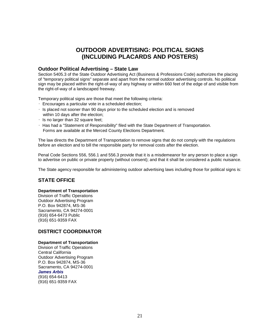## **OUTDOOR ADVERTISING: POLITICAL SIGNS (INCLUDING PLACARDS AND POSTERS)**

#### **Outdoor Political Advertising – State Law**

Section 5405.3 of the State Outdoor Advertising Act (Business & Professions Code) authorizes the placing of "temporary political signs" separate and apart from the normal outdoor advertising controls. No political sign may be placed within the right-of-way of any highway or within 660 feet of the edge of and visible from the right-of-way of a landscaped freeway.

Temporary political signs are those that meet the following criteria:

- Encourages a particular vote in a scheduled election;
- $\cdot$  Is placed not sooner than 90 days prior to the scheduled election and is removed within 10 days after the election;
- $\cdot$  Is no larger than 32 square feet:
- Has had a "Statement of Responsibility" filed with the State Department of Transportation. Forms are available at the Merced County Elections Department.

The law directs the Department of Transportation to remove signs that do not comply with the regulations before an election and to bill the responsible party for removal costs after the election.

Penal Code Sections 556, 556.1 and 556.3 provide that it is a misdemeanor for any person to place a sign to advertise on public or private property (without consent); and that it shall be considered a public nuisance.

The State agency responsible for administering outdoor advertising laws including those for political signs is:

#### **STATE OFFICE**

#### **Department of Transportation**

Division of Traffic Operations Outdoor Advertising Program P.O. Box 942874, MS-36 Sacramento, CA 94274-0001 (916) 654-6473 Public (916) 651-9359 FAX

#### **DISTRICT COORDINATOR**

#### **Department of Transportation**

Division of Traffic Operations Central California Outdoor Advertising Program P.O. Box 942874, MS-36 Sacramento, CA 94274-0001 *James Arbis* (916) 654-6413 (916) 651-9359 FAX